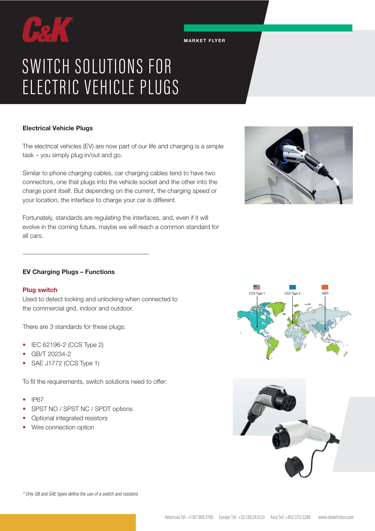# SWITCH SOLUTIONS FOR ELECTRIC VEHICLE PLUGS

# Electrical Vehicle Plugs

The electrical vehicles (EV) are now part of our life and charging is a simple task – you simply plug in/out and go.

MARKET FLYER

Similar to phone charging cables, car charging cables tend to have two connectors, one that plugs into the vehicle socket and the other into the charge point itself. But depending on the current, the charging speed or your location, the interface to charge your car is different.

Fortunately, standards are regulating the interfaces, and, even if it will evolve in the coming future, maybe we will reach a common standard for all cars.



# EV Charging Plugs – Functions

### Plug switch

Used to detect locking and unlocking when connected to the commercial grid, indoor and outdoor.

There are 3 standards for these plugs:

- IEC 62196-2 (CCS Type 2)
- GB/T 20234-2
- SAE J1772 (CCS Type 1)

To fit the requirements, switch solutions need to offer:

- IP67
- SPST NO / SPST NC / SPDT options
- Optional integrated resistors
- Wire connection option





\* Only GB and SAE types define the use of a switch and resistors